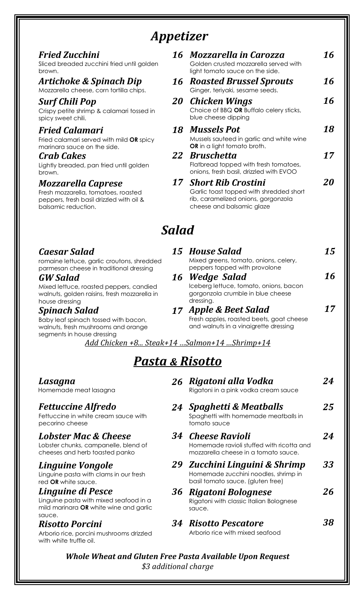# *Appetizer*

| Fried Zucchini<br>Sliced breaded zucchini fried until golden<br>brown.                                                              | 16    | Mozzarella in Carozza<br>Golden crusted mozzarella served with<br>light tomato sauce on the side.                                    | 16 |
|-------------------------------------------------------------------------------------------------------------------------------------|-------|--------------------------------------------------------------------------------------------------------------------------------------|----|
| Artichoke & Spinach Dip<br>Mozzarella cheese, corn tortilla chips.                                                                  | 16    | <b>Roasted Brussel Sprouts</b><br>Ginger, teriyaki, sesame seeds.                                                                    | 16 |
| Surf Chili Pop<br>Crispy petite shrimp & calamari tossed in<br>spicy sweet chili.                                                   | 20    | <b>Chicken Wings</b><br>Choice of BBQ OR Buffalo celery sticks,<br>blue cheese dipping                                               | 16 |
| <b>Fried Calamari</b><br>Fried calamari served with mild OR spicy<br>marinara sauce on the side.                                    | 18    | <b>Mussels Pot</b><br>Mussels sauteed in garlic and white wine<br>OR in a light tomato broth.                                        | 18 |
| <b>Crab Cakes</b><br>Lightly breaded, pan fried until golden<br>brown.                                                              | 22    | <b>Bruschetta</b><br>Flatbread topped with fresh tomatoes,<br>onions, fresh basil, drizzled with EVOO                                | 17 |
| <b>Mozzarella Caprese</b><br>Fresh mozzarella, tomatoes, roasted<br>peppers, fresh basil drizzled with oil &<br>balsamic reduction. |       | 17 Short Rib Crostini<br>Garlic toast topped with shredded short<br>rib, caramelized onions, gorgonzola<br>cheese and balsamic glaze | 20 |
|                                                                                                                                     | Salad |                                                                                                                                      |    |
| <b>Caesar Salad</b><br>romaine lettuce, garlic croutons, shredded                                                                   | 15    | House Salad<br>Mixed greens, tomato, onions, celery,                                                                                 | 15 |

romaine lettuce, garlic croutons, shredded parmesan cheese in traditional dressing

#### *GW Salad* Mixed lettuce, roasted peppers, candied walnuts, golden raisins, fresh mozzarella in house dressing

*Spinach Salad* Baby leaf spinach tossed with bacon,

walnuts, fresh mushrooms and orange segments in house dressing

*Add Chicken +8... Steak+14 …Salmon+14 …Shrimp+14*

*16 Wedge Salad*

dressing.

*17 Apple & Beet Salad*

peppers topped with provolone

Iceberg lettuce, tomato, onions, bacon gorgonzola crumble in blue cheese

*16*

*17* 

Fresh apples, roasted beets, goat cheese and walnuts in a vinaigrette dressing

# *Pasta & Risotto*

#### *26 Rigatoni alla Vodka 24Spaghetti & Meatballs 34Cheese Ravioli 29Zucchini Linguini & Shrimp 36 Rigatoni Bolognese 34Risotto Pescatore* Rigatoni in a pink vodka cream sauce Spaghetti with homemade meatballs in tomato sauce Homemade ravioli stuffed with ricotta and mozzarella cheese in a tomato sauce. Homemade zucchini noodles, shrimp in basil tomato sauce. (gluten free) Rigatoni with classic Italian Bolognese sauce. Arborio rice with mixed seafood *24 25 24 3326 38*

### *Whole Wheat and Gluten Free Pasta Available Upon Request \$3 additional charge*

### *Lasagna*

Homemade meat lasagna

### *Fettuccine Alfredo*

Fettuccine in white cream sauce with pecorino cheese

### *Lobster Mac & Cheese*

Lobster chunks, campanelle, blend of cheeses and herb toasted panko

### *Linguine Vongole*

Linguine pasta with clams in our fresh red **OR** white sauce.

# *Linguine di Pesce*

Linguine pasta with mixed seafood in a mild marinara **OR** white wine and garlic sauce.

### *Risotto Porcini*

Arborio rice, porcini mushrooms drizzled with white truffle oil.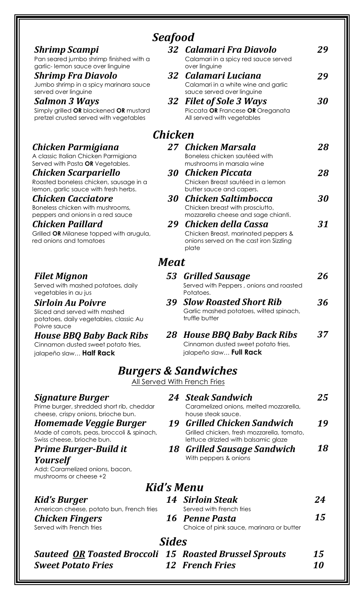|                                                                                                          | <b>Seafood</b> |                                                                                               |    |
|----------------------------------------------------------------------------------------------------------|----------------|-----------------------------------------------------------------------------------------------|----|
| <b>Shrimp Scampi</b>                                                                                     |                | 32 Calamari Fra Diavolo                                                                       | 29 |
| Pan seared jumbo shrimp finished with a                                                                  |                | Calamari in a spicy red sauce served                                                          |    |
| garlic-lemon sauce over linguine<br><b>Shrimp Fra Diavolo</b>                                            | 32             | over linguine<br>Calamari Luciana                                                             | 29 |
| Jumbo shrimp in a spicy marinara sauce                                                                   |                | Calamari in a white wine and garlic                                                           |    |
| served over linguine                                                                                     |                | sauce served over linguine                                                                    |    |
| <b>Salmon 3 Ways</b><br>Simply grilled OR blackened OR mustard<br>pretzel crusted served with vegetables | 32             | <b>Filet of Sole 3 Ways</b><br>Piccata OR Francese OR Oreganata<br>All served with vegetables | 30 |
|                                                                                                          | Chicken        |                                                                                               |    |
| Chicken Parmigiana                                                                                       | 27             | Chicken Marsala                                                                               | 28 |
| A classic Italian Chicken Parmigiana<br>Served with Pasta OR Vegetables.                                 |                | Boneless chicken sautéed with<br>mushrooms in marsala wine                                    |    |
| Chicken Scarpariello                                                                                     | 30             | Chicken Piccata                                                                               | 28 |
| Roasted boneless chicken, sausage in a<br>lemon, garlic sauce with fresh herbs.                          |                | Chicken Breast sautéed in a lemon<br>butter sauce and capers.                                 |    |
| <b>Chicken Cacciatore</b>                                                                                | 30             | <b>Chicken Saltimbocca</b>                                                                    | 30 |
| Boneless chicken with mushrooms,<br>peppers and onions in a red sauce                                    |                | Chicken breast with prosciutto,<br>mozzarella cheese and sage chianti.                        |    |
| Chicken Paillard                                                                                         | 29             | Chicken della Cassa                                                                           | 31 |
| Grilled OR Milanese topped with arugula,<br>red onions and tomatoes                                      |                | Chicken Breast, marinated peppers &<br>onions served on the cast iron Sizzling<br>plate       |    |
|                                                                                                          | Meat           |                                                                                               |    |
| <b>Filet Mignon</b>                                                                                      | 53             | <b>Grilled Sausage</b>                                                                        | 26 |
| Served with mashed potatoes, daily<br>vegetables in au jus                                               |                | Served with Peppers, onions and roasted<br>Potatoes.                                          |    |
| <b>Sirloin Au Poivre</b>                                                                                 | 39             | <b>Slow Roasted Short Rib</b>                                                                 | 36 |
| Sliced and served with mashed<br>potatoes, daily vegetables, classic Au<br>Poivre sauce                  |                | Garlic mashed potatoes, wilted spinach,<br>truffle butter                                     |    |
| <b>House BBQ Baby Back Ribs</b>                                                                          |                | 28 House BBQ Baby Back Ribs                                                                   | 37 |
| Cinnamon dusted sweet potato fries,<br>jalapeño slaw <b>Half Rack</b>                                    |                | Cinnamon dusted sweet potato fries,<br>jalapeño slaw Full Rack                                |    |
|                                                                                                          |                | <b>Burgers &amp; Sandwiches</b>                                                               |    |
|                                                                                                          |                | All Served With French Fries                                                                  |    |
| <b>Signature Burger</b>                                                                                  |                | 24 Steak Sandwich                                                                             | 25 |
| Prime burger, shredded short rib, cheddar                                                                |                | Caramelized onions, melted mozzarella,                                                        |    |
| cheese, crispy onions, brioche bun.<br><b>Homemade Veggie Burger</b>                                     | 19             | house steak sauce.<br><b>Grilled Chicken Sandwich</b>                                         | 19 |
| Made of carrots, peas, broccoli & spinach,                                                               |                | Grilled chicken, fresh mozzarella, tomato,                                                    |    |
| Swiss cheese, brioche bun.                                                                               |                | lettuce drizzled with balsamic glaze                                                          |    |
| <b>Prime Burger-Build it</b>                                                                             | 18             | <b>Grilled Sausage Sandwich</b><br>With peppers & onions                                      | 18 |
| <b>Yourself</b><br>Add: Caramelized onions, bacon,<br>mushrooms or cheese +2                             |                |                                                                                               |    |
|                                                                                                          |                | Kid's Menu                                                                                    |    |
| Kid's Burger                                                                                             |                | <b>14 Sirloin Steak</b>                                                                       | 24 |
| American cheese, potato bun, French fries                                                                |                | Served with French fries                                                                      |    |
| <b>Chicken Fingers</b><br>Served with French fries                                                       |                | 16 Penne Pasta<br>Choice of pink sauce, marinara or butter                                    | 15 |
|                                                                                                          |                |                                                                                               |    |
|                                                                                                          | <b>Sides</b>   |                                                                                               |    |
| <b>Sauteed OR Toasted Broccoli 15 Roasted Brussel Sprouts</b>                                            |                |                                                                                               | 15 |
| <b>Sweet Potato Fries</b>                                                                                |                | <b>12 French Fries</b>                                                                        | 10 |